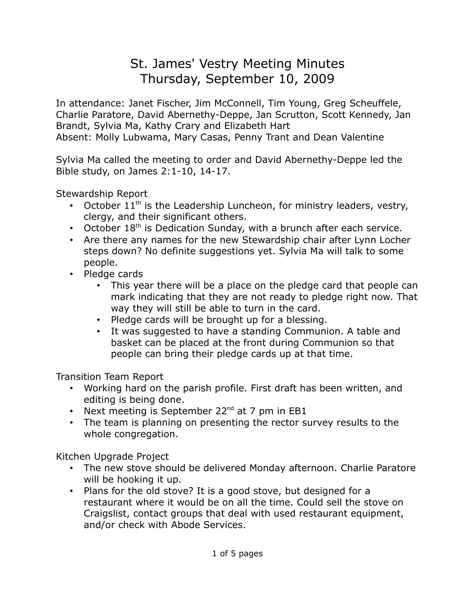## St. James' Vestry Meeting Minutes Thursday, September 10, 2009

In attendance: Janet Fischer, Jim McConnell, Tim Young, Greg Scheuffele, Charlie Paratore, David Abernethy-Deppe, Jan Scrutton, Scott Kennedy, Jan Brandt, Sylvia Ma, Kathy Crary and Elizabeth Hart Absent: Molly Lubwama, Mary Casas, Penny Trant and Dean Valentine

Sylvia Ma called the meeting to order and David Abernethy-Deppe led the Bible study, on James 2:1-10, 14-17.

Stewardship Report

- October  $11<sup>th</sup>$  is the Leadership Luncheon, for ministry leaders, vestry, clergy, and their significant others.
- October  $18<sup>th</sup>$  is Dedication Sunday, with a brunch after each service.
- Are there any names for the new Stewardship chair after Lynn Locher steps down? No definite suggestions yet. Sylvia Ma will talk to some people.
- Pledge cards
	- This year there will be a place on the pledge card that people can mark indicating that they are not ready to pledge right now. That way they will still be able to turn in the card.
	- Pledge cards will be brought up for a blessing.
	- It was suggested to have a standing Communion. A table and basket can be placed at the front during Communion so that people can bring their pledge cards up at that time.

Transition Team Report

- Working hard on the parish profile. First draft has been written, and editing is being done.
- Next meeting is September  $22^{nd}$  at 7 pm in EB1
- The team is planning on presenting the rector survey results to the whole congregation.

Kitchen Upgrade Project

- The new stove should be delivered Monday afternoon. Charlie Paratore will be hooking it up.
- Plans for the old stove? It is a good stove, but designed for a restaurant where it would be on all the time. Could sell the stove on Craigslist, contact groups that deal with used restaurant equipment, and/or check with Abode Services.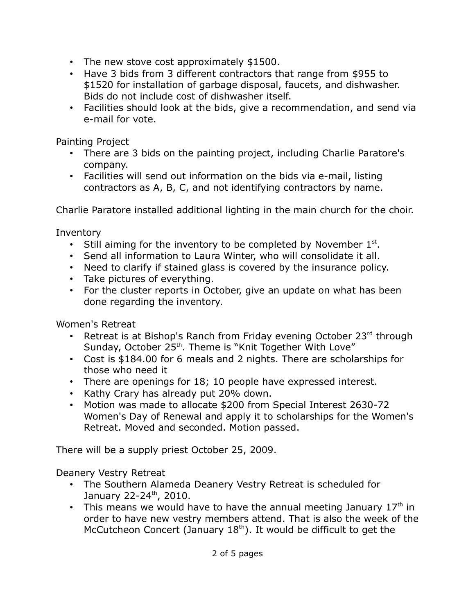- The new stove cost approximately \$1500.
- Have 3 bids from 3 different contractors that range from \$955 to \$1520 for installation of garbage disposal, faucets, and dishwasher. Bids do not include cost of dishwasher itself.
- Facilities should look at the bids, give a recommendation, and send via e-mail for vote.

Painting Project

- There are 3 bids on the painting project, including Charlie Paratore's company.
- Facilities will send out information on the bids via e-mail, listing contractors as A, B, C, and not identifying contractors by name.

Charlie Paratore installed additional lighting in the main church for the choir.

Inventory

- Still aiming for the inventory to be completed by November  $1<sup>st</sup>$ .
- Send all information to Laura Winter, who will consolidate it all.
- Need to clarify if stained glass is covered by the insurance policy.
- Take pictures of everything.
- For the cluster reports in October, give an update on what has been done regarding the inventory.

Women's Retreat

- Retreat is at Bishop's Ranch from Friday evening October 23rd through Sunday, October 25<sup>th</sup>. Theme is "Knit Together With Love"
- Cost is \$184.00 for 6 meals and 2 nights. There are scholarships for those who need it
- There are openings for 18; 10 people have expressed interest.
- Kathy Crary has already put 20% down.
- Motion was made to allocate \$200 from Special Interest 2630-72 Women's Day of Renewal and apply it to scholarships for the Women's Retreat. Moved and seconded. Motion passed.

There will be a supply priest October 25, 2009.

Deanery Vestry Retreat

- The Southern Alameda Deanery Vestry Retreat is scheduled for January 22-24<sup>th</sup>, 2010.
- This means we would have to have the annual meeting January  $17<sup>th</sup>$  in order to have new vestry members attend. That is also the week of the McCutcheon Concert (January  $18<sup>th</sup>$ ). It would be difficult to get the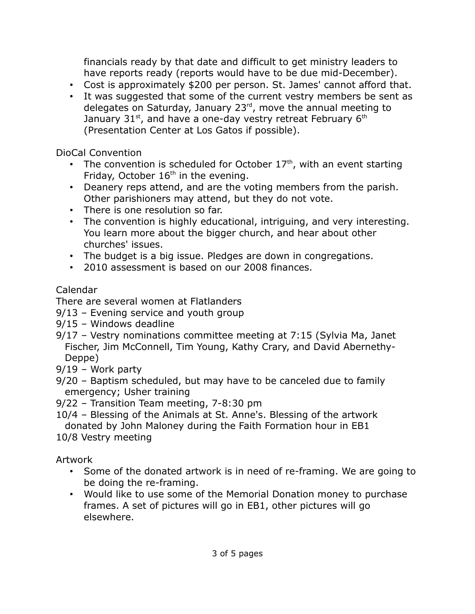financials ready by that date and difficult to get ministry leaders to have reports ready (reports would have to be due mid-December).

- Cost is approximately \$200 per person. St. James' cannot afford that.
- It was suggested that some of the current vestry members be sent as delegates on Saturday, January  $23<sup>rd</sup>$ , move the annual meeting to January  $31<sup>st</sup>$ , and have a one-day vestry retreat February  $6<sup>th</sup>$ (Presentation Center at Los Gatos if possible).

DioCal Convention

- The convention is scheduled for October  $17<sup>th</sup>$ , with an event starting Friday, October  $16<sup>th</sup>$  in the evening.
- Deanery reps attend, and are the voting members from the parish. Other parishioners may attend, but they do not vote.
- There is one resolution so far.
- The convention is highly educational, intriguing, and very interesting. You learn more about the bigger church, and hear about other churches' issues.
- The budget is a big issue. Pledges are down in congregations.
- 2010 assessment is based on our 2008 finances.

## Calendar

There are several women at Flatlanders

- 9/13 Evening service and youth group
- 9/15 Windows deadline
- 9/17 Vestry nominations committee meeting at 7:15 (Sylvia Ma, Janet Fischer, Jim McConnell, Tim Young, Kathy Crary, and David Abernethy-Deppe)
- 9/19 Work party
- 9/20 Baptism scheduled, but may have to be canceled due to family emergency; Usher training
- 9/22 Transition Team meeting, 7-8:30 pm
- 10/4 Blessing of the Animals at St. Anne's. Blessing of the artwork donated by John Maloney during the Faith Formation hour in EB1

10/8 Vestry meeting

Artwork

- Some of the donated artwork is in need of re-framing. We are going to be doing the re-framing.
- Would like to use some of the Memorial Donation money to purchase frames. A set of pictures will go in EB1, other pictures will go elsewhere.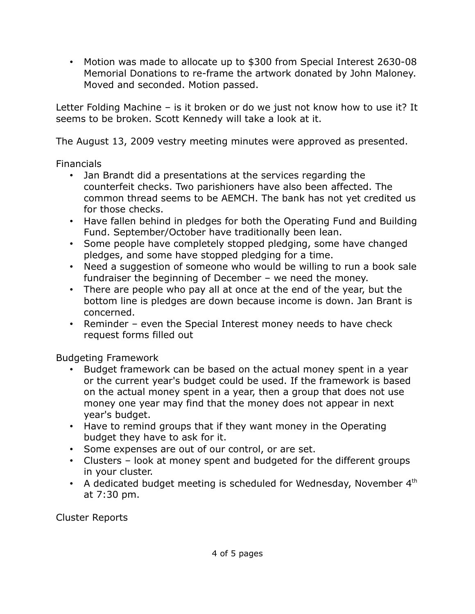• Motion was made to allocate up to \$300 from Special Interest 2630-08 Memorial Donations to re-frame the artwork donated by John Maloney. Moved and seconded. Motion passed.

Letter Folding Machine – is it broken or do we just not know how to use it? It seems to be broken. Scott Kennedy will take a look at it.

The August 13, 2009 vestry meeting minutes were approved as presented.

Financials

- Jan Brandt did a presentations at the services regarding the counterfeit checks. Two parishioners have also been affected. The common thread seems to be AEMCH. The bank has not yet credited us for those checks.
- Have fallen behind in pledges for both the Operating Fund and Building Fund. September/October have traditionally been lean.
- Some people have completely stopped pledging, some have changed pledges, and some have stopped pledging for a time.
- Need a suggestion of someone who would be willing to run a book sale fundraiser the beginning of December – we need the money.
- There are people who pay all at once at the end of the year, but the bottom line is pledges are down because income is down. Jan Brant is concerned.
- Reminder even the Special Interest money needs to have check request forms filled out

Budgeting Framework

- Budget framework can be based on the actual money spent in a year or the current year's budget could be used. If the framework is based on the actual money spent in a year, then a group that does not use money one year may find that the money does not appear in next year's budget.
- Have to remind groups that if they want money in the Operating budget they have to ask for it.
- Some expenses are out of our control, or are set.
- Clusters look at money spent and budgeted for the different groups in your cluster.
- A dedicated budget meeting is scheduled for Wednesday, November  $4<sup>th</sup>$ at 7:30 pm.

Cluster Reports